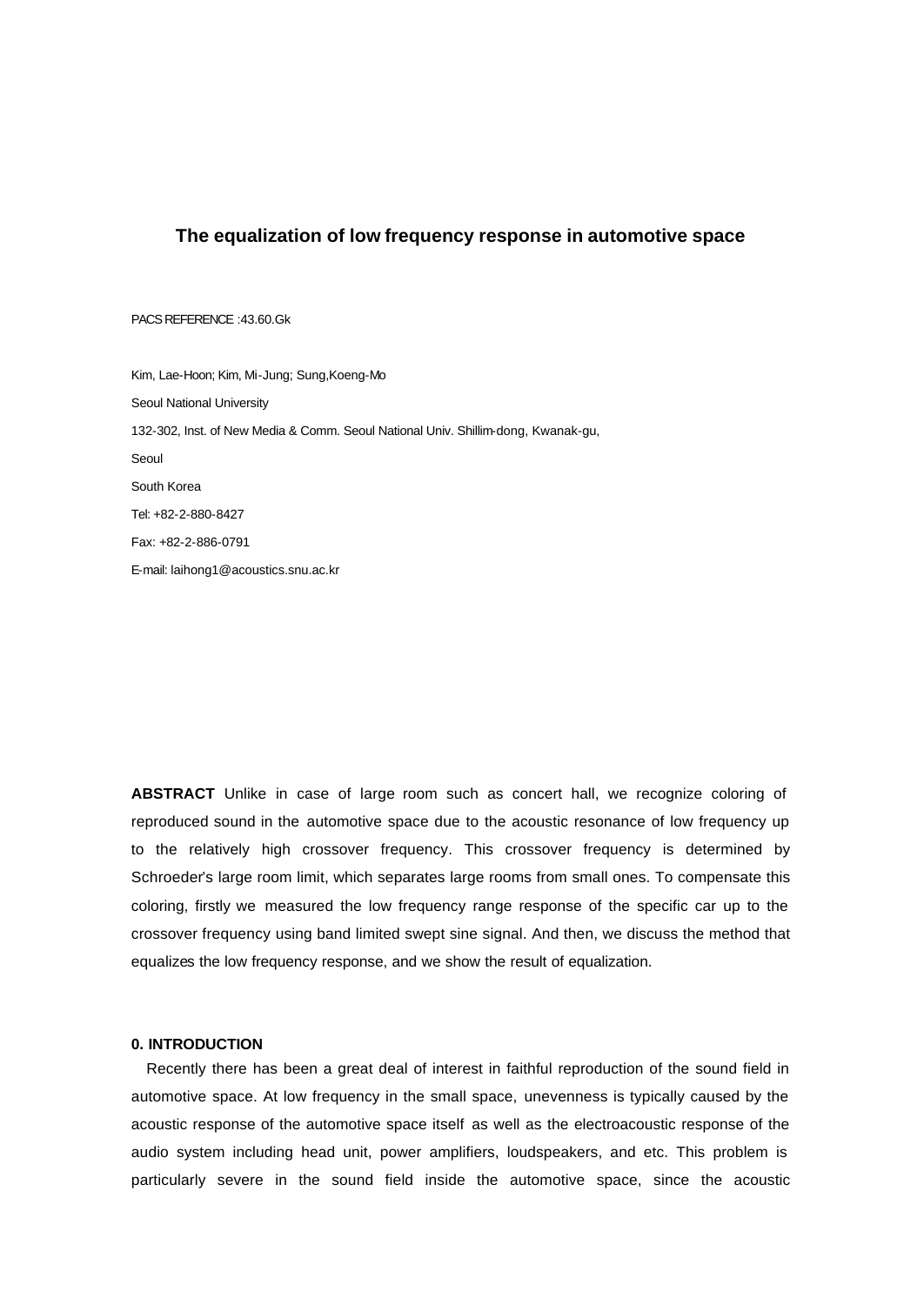# **The equalization of low frequency response in automotive space**

#### PACS REFERENCE :43.60.Gk

Kim, Lae-Hoon; Kim, Mi-Jung; Sung,Koeng-Mo Seoul National University 132-302, Inst. of New Media & Comm. Seoul National Univ. Shillim-dong, Kwanak-gu, Seoul South Korea Tel: +82-2-880-8427 Fax: +82-2-886-0791 E-mail: laihong1@acoustics.snu.ac.kr

**ABSTRACT** Unlike in case of large room such as concert hall, we recognize coloring of reproduced sound in the automotive space due to the acoustic resonance of low frequency up to the relatively high crossover frequency. This crossover frequency is determined by Schroeder's large room limit, which separates large rooms from small ones. To compensate this coloring, firstly we measured the low frequency range response of the specific car up to the crossover frequency using band limited swept sine signal. And then, we discuss the method that equalizes the low frequency response, and we show the result of equalization.

## **0. INTRODUCTION**

Recently there has been a great deal of interest in faithful reproduction of the sound field in automotive space. At low frequency in the small space, unevenness is typically caused by the acoustic response of the automotive space itself as well as the electroacoustic response of the audio system including head unit, power amplifiers, loudspeakers, and etc. This problem is particularly severe in the sound field inside the automotive space, since the acoustic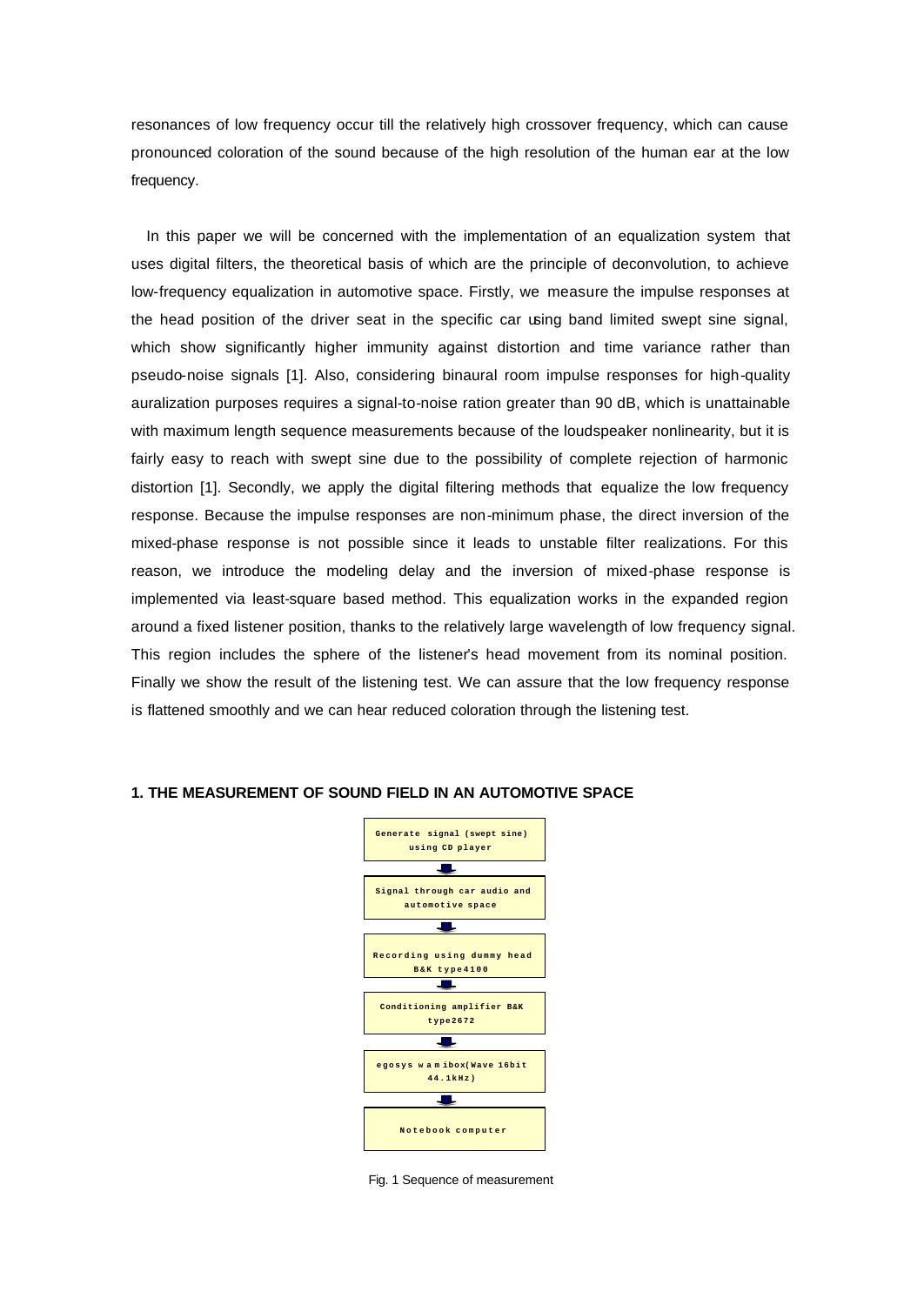resonances of low frequency occur till the relatively high crossover frequency, which can cause pronounced coloration of the sound because of the high resolution of the human ear at the low frequency.

In this paper we will be concerned with the implementation of an equalization system that uses digital filters, the theoretical basis of which are the principle of deconvolution, to achieve low-frequency equalization in automotive space. Firstly, we measure the impulse responses at the head position of the driver seat in the specific car using band limited swept sine signal, which show significantly higher immunity against distortion and time variance rather than pseudo-noise signals [1]. Also, considering binaural room impulse responses for high-quality auralization purposes requires a signal-to-noise ration greater than 90 dB, which is unattainable with maximum length sequence measurements because of the loudspeaker nonlinearity, but it is fairly easy to reach with swept sine due to the possibility of complete rejection of harmonic distortion [1]. Secondly, we apply the digital filtering methods that equalize the low frequency response. Because the impulse responses are non-minimum phase, the direct inversion of the mixed-phase response is not possible since it leads to unstable filter realizations. For this reason, we introduce the modeling delay and the inversion of mixed-phase response is implemented via least-square based method. This equalization works in the expanded region around a fixed listener position, thanks to the relatively large wavelength of low frequency signal. This region includes the sphere of the listener's head movement from its nominal position. Finally we show the result of the listening test. We can assure that the low frequency response is flattened smoothly and we can hear reduced coloration through the listening test.

## **1. THE MEASUREMENT OF SOUND FIELD IN AN AUTOMOTIVE SPACE**



Fig. 1 Sequence of measurement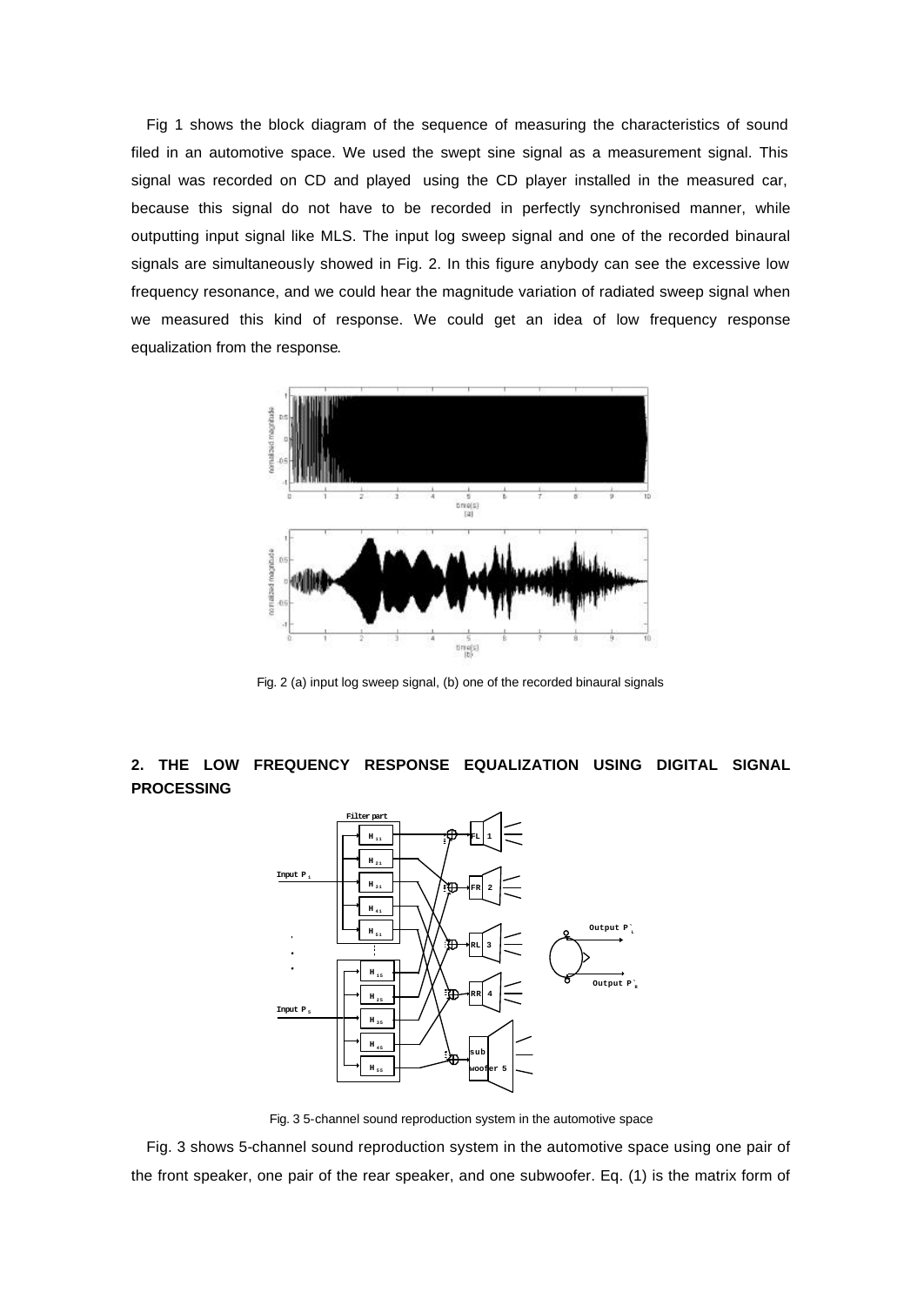Fig 1 shows the block diagram of the sequence of measuring the characteristics of sound filed in an automotive space. We used the swept sine signal as a measurement signal. This signal was recorded on CD and played using the CD player installed in the measured car, because this signal do not have to be recorded in perfectly synchronised manner, while outputting input signal like MLS. The input log sweep signal and one of the recorded binaural signals are simultaneously showed in Fig. 2. In this figure anybody can see the excessive low frequency resonance, and we could hear the magnitude variation of radiated sweep signal when we measured this kind of response. We could get an idea of low frequency response equalization from the response.



Fig. 2 (a) input log sweep signal, (b) one of the recorded binaural signals

# **2. THE LOW FREQUENCY RESPONSE EQUALIZATION USING DIGITAL SIGNAL PROCESSING**



Fig. 3 5-channel sound reproduction system in the automotive space

Fig. 3 shows 5-channel sound reproduction system in the automotive space using one pair of the front speaker, one pair of the rear speaker, and one subwoofer. Eq. (1) is the matrix form of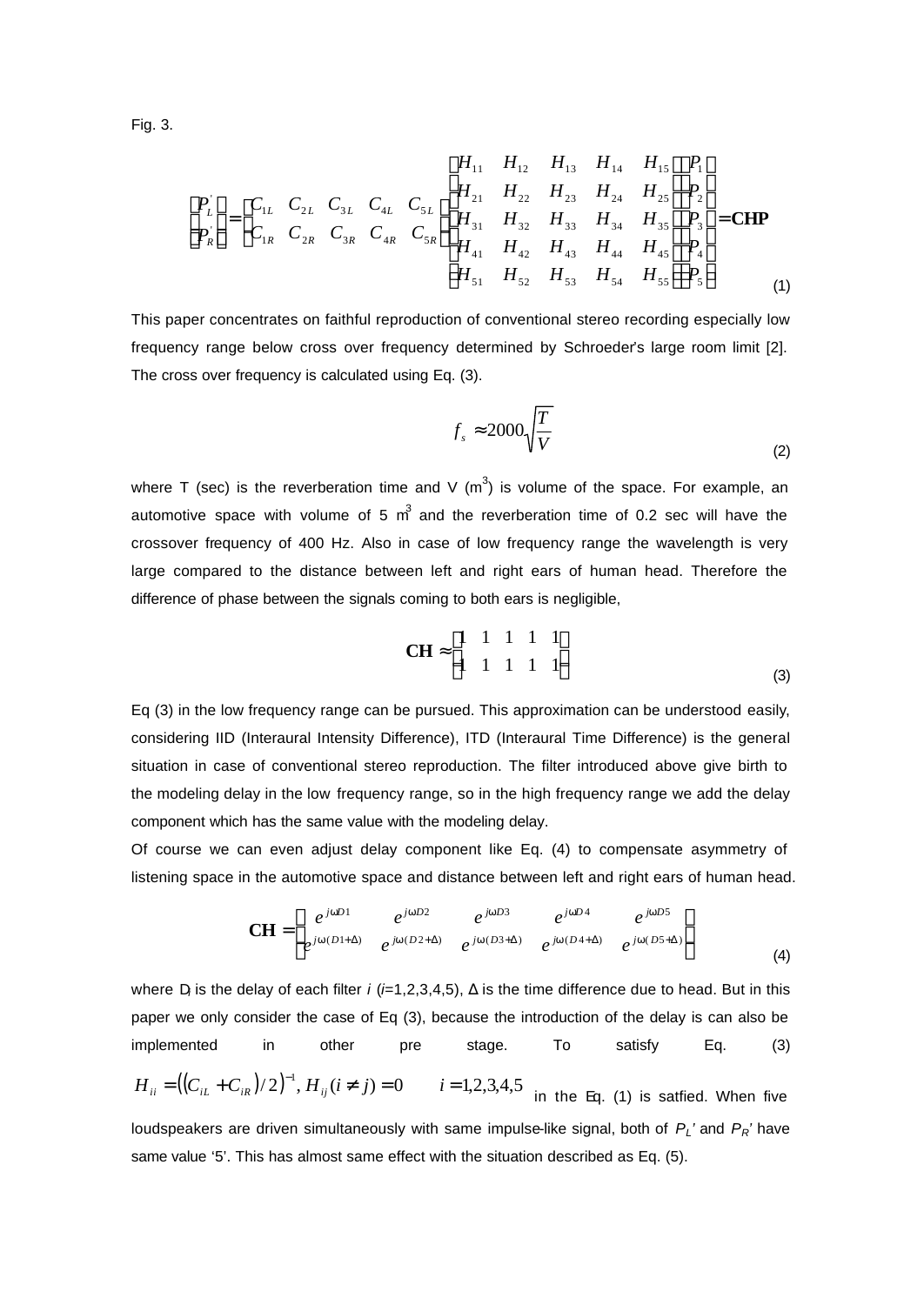Fig. 3.

$$
\begin{bmatrix} P_{L} \\ P_{R} \end{bmatrix} = \begin{bmatrix} C_{1L} & C_{2L} & C_{3L} & C_{4L} & C_{5L} \\ C_{1R} & C_{2R} & C_{3R} & C_{4R} & C_{5R} \end{bmatrix} \begin{bmatrix} H_{11} & H_{12} & H_{13} & H_{14} & H_{15} \\ H_{21} & H_{22} & H_{23} & H_{24} & H_{25} \\ H_{31} & H_{32} & H_{33} & H_{34} & H_{35} \\ H_{41} & H_{42} & H_{43} & H_{44} & H_{45} \\ H_{51} & H_{52} & H_{53} & H_{54} & H_{55} \end{bmatrix} \begin{bmatrix} P_{1} \\ P_{2} \\ P_{3} \\ P_{4} \\ P_{5} \end{bmatrix} = \mathbf{CHP}
$$
\n
$$
(1)
$$

This paper concentrates on faithful reproduction of conventional stereo recording especially low frequency range below cross over frequency determined by Schroeder's large room limit [2]. The cross over frequency is calculated using Eq. (3).

$$
f_s \approx 2000 \sqrt{\frac{T}{V}}
$$
 (2)

where T (sec) is the reverberation time and V (m<sup>3</sup>) is volume of the space. For example, an automotive space with volume of 5  $m<sup>3</sup>$  and the reverberation time of 0.2 sec will have the crossover frequency of 400 Hz. Also in case of low frequency range the wavelength is very large compared to the distance between left and right ears of human head. Therefore the difference of phase between the signals coming to both ears is negligible,

$$
\mathbf{CH} \approx \begin{bmatrix} 1 & 1 & 1 & 1 & 1 \\ 1 & 1 & 1 & 1 & 1 \end{bmatrix} \tag{3}
$$

Eq (3) in the low frequency range can be pursued. This approximation can be understood easily, considering IID (Interaural Intensity Difference), ITD (Interaural Time Difference) is the general situation in case of conventional stereo reproduction. The filter introduced above give birth to the modeling delay in the low frequency range, so in the high frequency range we add the delay component which has the same value with the modeling delay.

Of course we can even adjust delay component like Eq. (4) to compensate asymmetry of listening space in the automotive space and distance between left and right ears of human head.

$$
\mathbf{CH} = \begin{bmatrix} e^{jwD1} & e^{jwD2} & e^{jwD3} & e^{jwD4} \\ e^{jw(D1+\Delta)} & e^{jw(D2+\Delta)} & e^{jw(D3+\Delta)} & e^{jw(D4+\Delta)} & e^{jw(D5+\Delta)} \end{bmatrix}
$$
(4)

where D*<sup>i</sup>* is the delay of each filter *i* (*i*=1,2,3,4,5), Δ is the time difference due to head. But in this paper we only consider the case of Eq (3), because the introduction of the delay is can also be implemented in other pre stage. To satisfy Eq. (3)  $H_{ii} = ((C_{iL} + C_{iR})/2)^{-1}$ ,  $H_{ij}$  ( $i \neq j$ ) = 0  $i = 1,2,3,4,5$  in the Eq. (1) is satfied. When five

loudspeakers are driven simultaneously with same impulse-like signal, both of *PL'* and *PR'* have same value '5'. This has almost same effect with the situation described as Eq. (5).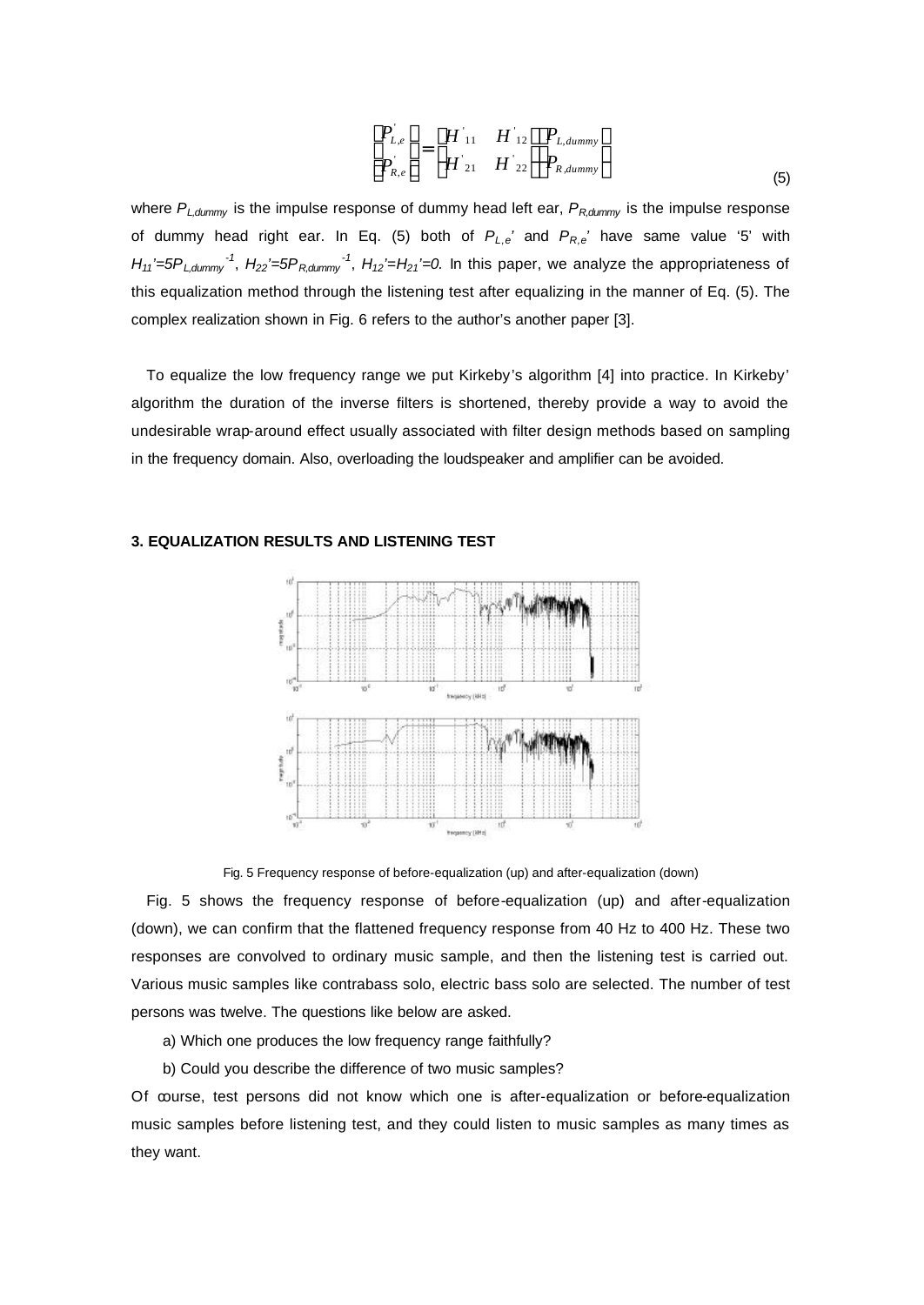$$
\begin{bmatrix} P_{L,e} \\ P_{R,e} \end{bmatrix} = \begin{bmatrix} H_{11} & H_{12} \\ H_{21} & H_{22} \end{bmatrix} \begin{bmatrix} P_{L,dummy} \\ P_{R,dummy} \end{bmatrix}
$$
\n(5)

where *PL,dummy* is the impulse response of dummy head left ear, *PR,dummy* is the impulse response of dummy head right ear. In Eq. (5) both of *PL,e'* and *PR,e'* have same value '5' with  $H_{11}$ '=5P<sub>*L,dummy*<sup>-1</sup>,  $H_{22}$ '=5P<sub>R,dummy</sub><sup>-1</sup>,  $H_{12}$ '= $H_{21}$ '=0. In this paper, we analyze the appropriateness of</sub> this equalization method through the listening test after equalizing in the manner of Eq. (5). The complex realization shown in Fig. 6 refers to the author's another paper [3].

To equalize the low frequency range we put Kirkeby's algorithm [4] into practice. In Kirkeby' algorithm the duration of the inverse filters is shortened, thereby provide a way to avoid the undesirable wrap-around effect usually associated with filter design methods based on sampling in the frequency domain. Also, overloading the loudspeaker and amplifier can be avoided.

# $\sim$ iè  $\vec{r}$ ιď.

## **3. EQUALIZATION RESULTS AND LISTENING TEST**

Fig. 5 Frequency response of before-equalization (up) and after-equalization (down)

Fig. 5 shows the frequency response of before-equalization (up) and after-equalization (down), we can confirm that the flattened frequency response from 40 Hz to 400 Hz. These two responses are convolved to ordinary music sample, and then the listening test is carried out. Various music samples like contrabass solo, electric bass solo are selected. The number of test persons was twelve. The questions like below are asked.

- a) Which one produces the low frequency range faithfully?
- b) Could you describe the difference of two music samples?

Of course, test persons did not know which one is after-equalization or before-equalization music samples before listening test, and they could listen to music samples as many times as they want.